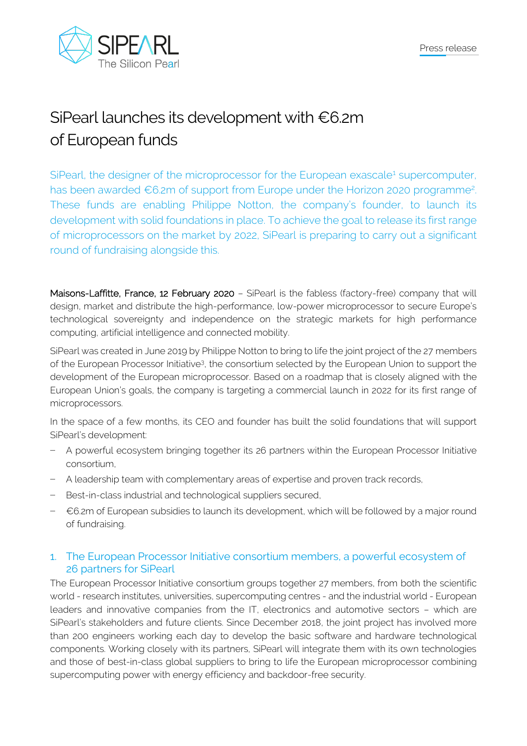

# SiPearl launches its development with €6.2m of European funds

SiPearl, the designer of the microprocessor for the European exascale<sup>1</sup> supercomputer, has been awarded €6.2m of support from Europe under the Horizon 2020 programme<sup>2</sup>. These funds are enabling Philippe Notton, the company's founder, to launch its development with solid foundations in place. To achieve the goal to release its first range of microprocessors on the market by 2022, SiPearl is preparing to carry out a significant round of fundraising alongside this.

Maisons-Laffitte, France, 12 February 2020 – SiPearl is the fabless (factory-free) company that will design, market and distribute the high-performance, low-power microprocessor to secure Europe's technological sovereignty and independence on the strategic markets for high performance computing, artificial intelligence and connected mobility.

SiPearl was created in June 2019 by Philippe Notton to bring to life the joint project of the 27 members of the European Processor Initiative<sup>3</sup>, the consortium selected by the European Union to support the development of the European microprocessor. Based on a roadmap that is closely aligned with the European Union's goals, the company is targeting a commercial launch in 2022 for its first range of microprocessors.

In the space of a few months, its CEO and founder has built the solid foundations that will support SiPearl's development:

- − A powerful ecosystem bringing together its 26 partners within the European Processor Initiative consortium,
- − A leadership team with complementary areas of expertise and proven track records,
- − Best-in-class industrial and technological suppliers secured,
- − €6.2m of European subsidies to launch its development, which will be followed by a major round of fundraising.

## 1. The European Processor Initiative consortium members, a powerful ecosystem of 26 partners for SiPearl

The European Processor Initiative consortium groups together 27 members, from both the scientific world - research institutes, universities, supercomputing centres - and the industrial world - European leaders and innovative companies from the IT, electronics and automotive sectors – which are SiPearl's stakeholders and future clients. Since December 2018, the joint project has involved more than 200 engineers working each day to develop the basic software and hardware technological components. Working closely with its partners, SiPearl will integrate them with its own technologies and those of best-in-class global suppliers to bring to life the European microprocessor combining supercomputing power with energy efficiency and backdoor-free security.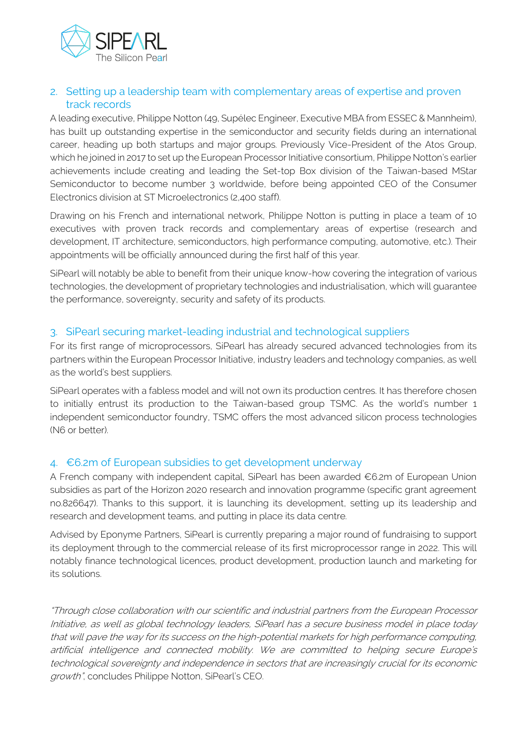

# 2. Setting up a leadership team with complementary areas of expertise and proven track records

A leading executive, Philippe Notton (49, Supélec Engineer, Executive MBA from ESSEC & Mannheim), has built up outstanding expertise in the semiconductor and security fields during an international career, heading up both startups and major groups. Previously Vice-President of the Atos Group, which he joined in 2017 to set up the European Processor Initiative consortium, Philippe Notton's earlier achievements include creating and leading the Set-top Box division of the Taiwan-based MStar Semiconductor to become number 3 worldwide, before being appointed CEO of the Consumer Electronics division at ST Microelectronics (2,400 staff).

Drawing on his French and international network, Philippe Notton is putting in place a team of 10 executives with proven track records and complementary areas of expertise (research and development, IT architecture, semiconductors, high performance computing, automotive, etc.). Their appointments will be officially announced during the first half of this year.

SiPearl will notably be able to benefit from their unique know-how covering the integration of various technologies, the development of proprietary technologies and industrialisation, which will guarantee the performance, sovereignty, security and safety of its products.

# 3. SiPearl securing market-leading industrial and technological suppliers

For its first range of microprocessors, SiPearl has already secured advanced technologies from its partners within the European Processor Initiative, industry leaders and technology companies, as well as the world's best suppliers.

SiPearl operates with a fabless model and will not own its production centres. It has therefore chosen to initially entrust its production to the Taiwan-based group TSMC. As the world's number 1 independent semiconductor foundry, TSMC offers the most advanced silicon process technologies (N6 or better).

## 4. €6.2m of European subsidies to get development underway

A French company with independent capital, SiPearl has been awarded €6.2m of European Union subsidies as part of the Horizon 2020 research and innovation programme (specific grant agreement no.826647). Thanks to this support, it is launching its development, setting up its leadership and research and development teams, and putting in place its data centre.

Advised by Eponyme Partners, SiPearl is currently preparing a major round of fundraising to support its deployment through to the commercial release of its first microprocessor range in 2022. This will notably finance technological licences, product development, production launch and marketing for its solutions.

"Through close collaboration with our scientific and industrial partners from the European Processor Initiative, as well as global technology leaders, SiPearl has a secure business model in place today that will pave the way for its success on the high-potential markets for high performance computing, artificial intelligence and connected mobility. We are committed to helping secure Europe's technological sovereignty and independence in sectors that are increasingly crucial for its economic growth", concludes Philippe Notton, SiPearl's CEO.